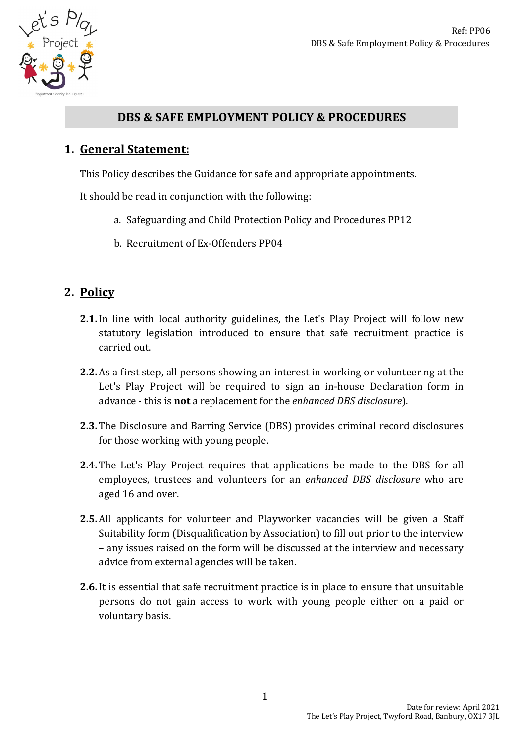

# **DBS & SAFE EMPLOYMENT POLICY & PROCEDURES**

# **1. General Statement:**

This Policy describes the Guidance for safe and appropriate appointments.

It should be read in conjunction with the following:

- a. Safeguarding and Child Protection Policy and Procedures PP12
- b. Recruitment of Ex-Offenders PP04

# **2. Policy**

- **2.1.**In line with local authority guidelines, the Let's Play Project will follow new statutory legislation introduced to ensure that safe recruitment practice is carried out.
- **2.2.**As a first step, all persons showing an interest in working or volunteering at the Let's Play Project will be required to sign an in-house Declaration form in advance - this is **not** a replacement for the *enhanced DBS disclosure*).
- **2.3.** The Disclosure and Barring Service (DBS) provides criminal record disclosures for those working with young people.
- **2.4.** The Let's Play Project requires that applications be made to the DBS for all employees, trustees and volunteers for an *enhanced DBS disclosure* who are aged 16 and over.
- **2.5.**All applicants for volunteer and Playworker vacancies will be given a Staff Suitability form (Disqualification by Association) to fill out prior to the interview – any issues raised on the form will be discussed at the interview and necessary advice from external agencies will be taken.
- **2.6.**It is essential that safe recruitment practice is in place to ensure that unsuitable persons do not gain access to work with young people either on a paid or voluntary basis.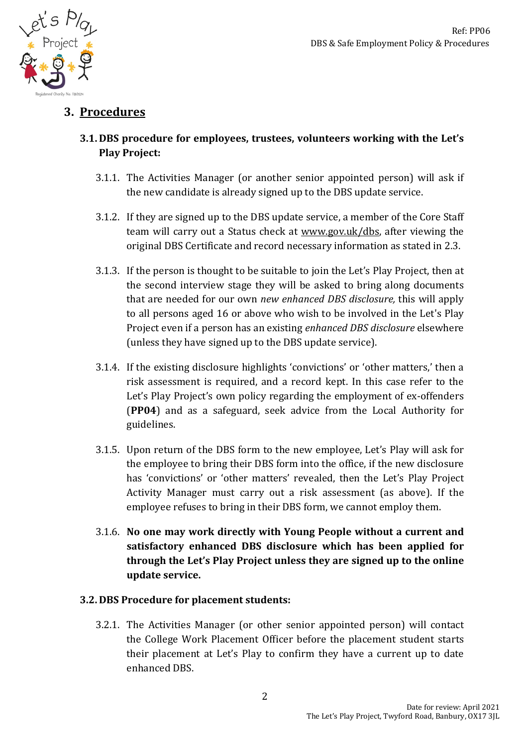

# **3. Procedures**

### **3.1. DBS procedure for employees, trustees, volunteers working with the Let's Play Project:**

- 3.1.1. The Activities Manager (or another senior appointed person) will ask if the new candidate is already signed up to the DBS update service.
- 3.1.2. If they are signed up to the DBS update service, a member of the Core Staff team will carry out a Status check at www.gov.uk/dbs, after viewing the original DBS Certificate and record necessary information as stated in 2.3.
- 3.1.3. If the person is thought to be suitable to join the Let's Play Project, then at the second interview stage they will be asked to bring along documents that are needed for our own *new enhanced DBS disclosure,* this will apply to all persons aged 16 or above who wish to be involved in the Let's Play Project even if a person has an existing *enhanced DBS disclosure* elsewhere (unless they have signed up to the DBS update service).
- 3.1.4. If the existing disclosure highlights 'convictions' or 'other matters,' then a risk assessment is required, and a record kept. In this case refer to the Let's Play Project's own policy regarding the employment of ex-offenders (**PP04**) and as a safeguard, seek advice from the Local Authority for guidelines.
- 3.1.5. Upon return of the DBS form to the new employee, Let's Play will ask for the employee to bring their DBS form into the office, if the new disclosure has 'convictions' or 'other matters' revealed, then the Let's Play Project Activity Manager must carry out a risk assessment (as above). If the employee refuses to bring in their DBS form, we cannot employ them.
- 3.1.6. **No one may work directly with Young People without a current and satisfactory enhanced DBS disclosure which has been applied for through the Let's Play Project unless they are signed up to the online update service.**

### **3.2. DBS Procedure for placement students:**

3.2.1. The Activities Manager (or other senior appointed person) will contact the College Work Placement Officer before the placement student starts their placement at Let's Play to confirm they have a current up to date enhanced DBS.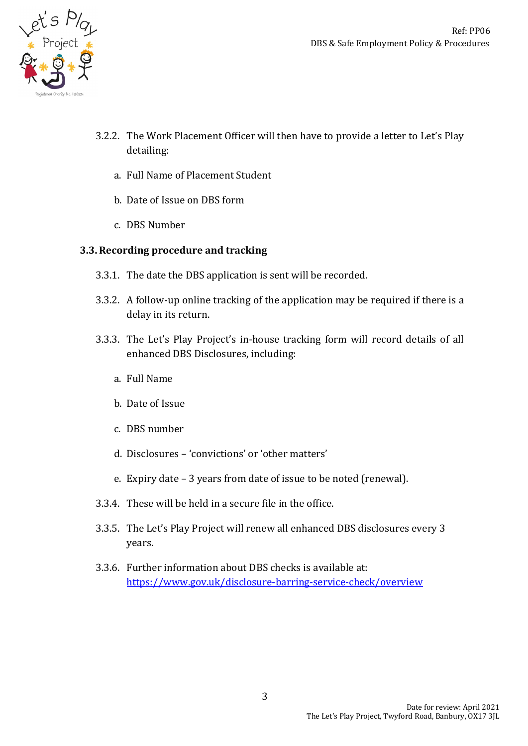

- 3.2.2. The Work Placement Officer will then have to provide a letter to Let's Play detailing:
	- a. Full Name of Placement Student
	- b. Date of Issue on DBS form
	- c. DBS Number

#### **3.3.Recording procedure and tracking**

- 3.3.1. The date the DBS application is sent will be recorded.
- 3.3.2. A follow-up online tracking of the application may be required if there is a delay in its return.
- 3.3.3. The Let's Play Project's in-house tracking form will record details of all enhanced DBS Disclosures, including:
	- a. Full Name
	- b. Date of Issue
	- c. DBS number
	- d. Disclosures 'convictions' or 'other matters'
	- e. Expiry date 3 years from date of issue to be noted (renewal).
- 3.3.4. These will be held in a secure file in the office.
- 3.3.5. The Let's Play Project will renew all enhanced DBS disclosures every 3 years.
- 3.3.6. Further information about DBS checks is available at: <https://www.gov.uk/disclosure-barring-service-check/overview>